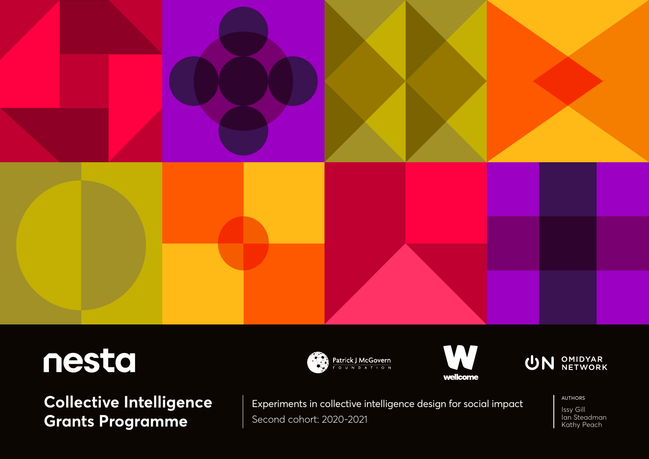

## nesta

**Collective Intelligence Grants Programme**







Experiments in collective intelligence design for social impact Second cohort: 2020-2021

AUTHORS

Issy Gill Ian Steadman Kathy Peach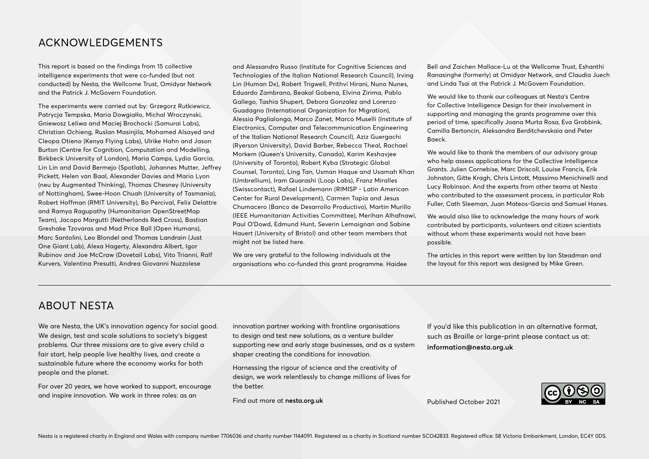## ACKNOWLEDGEMENTS

This report is based on the findings from 15 collective intelligence experiments that were co-funded (but not conducted) by Nesta, the Wellcome Trust, Omidyar Network and the Patrick J. McGovern Foundation.

The experiments were carried out by: Grzegorz Rutkiewicz, Patrycja Tempska, Maria Dowgiałło, Michal Wroczynski, Gniewosz Leliwa and Maciej Brochocki (Samurai Labs), Christian Ochieng, Ruslan Masinjila, Mohamed Alsayed and Cleopa Otieno (Kenya Flying Labs), Ulrike Hahn and Jason Burton (Centre for Cognition, Computation and Modelling, Birkbeck University of London), Maria Camps, Lydia Garcia, Lin Lin and David Bermejo (Spotlab), Johannes Mutter, Jeffrey Pickett, Helen van Baal, Alexander Davies and Mario Lyon (neu by Augmented Thinking), Thomas Chesney (University of Nottingham), Swee-Hoon Chuah (University of Tasmania), Robert Hoffman (RMIT University), Bo Percival, Felix Delattre and Ramya Ragupathy (Humanitarian OpenStreetMap Team), Jacopo Margutti (Netherlands Red Cross), Bastian Greshake Tzovaras and Mad Price Ball (Open Humans), Marc Santolini, Leo Blondel and Thomas Landrain (Just One Giant Lab), Alexa Hagerty, Alexandra Albert, Igor Rubinov and Joe McCraw (Dovetail Labs), Vito Trianni, Ralf Kurvers, Valentina Presutti, Andrea Giovanni Nuzzolese

and Alessandro Russo (Institute for Cognitive Sciences and Technologies of the Italian National Research Council), Irving Lin (Human Dx), Robert Trigwell, Prithvi Hirani, Nuno Nunes, Eduardo Zambrano, Beakal Gobena, Elvina Zirima, Pablo Gallego, Tashia Shupert, Debora Gonzalez and Lorenzo Guadagno (International Organization for Migration), Alessia Paglialonga, Marco Zanet, Marco Muselli (Institute of Electronics, Computer and Telecommunication Engineering of the Italian National Research Council), Aziz Guergachi (Ryerson University), David Barber, Rebecca Theal, Rachael Morkem (Queen's University, Canada), Karim Keshavjee (University of Toronto), Robert Kyba (Strategic Global Counsel, Toronto), Ling Tan, Usman Haque and Usamah Khan (Umbrellium), Iram Quarashi (Loop Labs), Franz Miralles (Swisscontact), Rafael Lindemann (RIMISP - Latin American Center for Rural Development), Carmen Tapia and Jesus Chumacero (Banco de Desarrollo Productivo), Martin Murillo (IEEE Humanitarian Activities Committee), Merihan Alhafnawi, Paul O'Dowd, Edmund Hunt, Severin Lemaignan and Sabine Hauert (University of Bristol) and other team members that might not be listed here.

We are very arateful to the following individuals at the organisations who co-funded this grant programme. Haidee Bell and Zaichen Mallace-Lu at the Wellcome Trust, Eshanthi Ranasinghe (formerly) at Omidyar Network, and Claudia Juech and Linda Tsai at the Patrick J. McGovern Foundation.

We would like to thank our colleagues at Nesta's Centre for Collective Intelligence Design for their involvement in supporting and managing the grants programme over this period of time, specifically Joana Murta Rosa, Eva Grobbink, Camilla Bertoncin, Aleksandra Berditchevskaia and Peter Baeck.

We would like to thank the members of our advisory group who help assess applications for the Collective Intelligence Grants. Julien Cornebise, Marc Driscoll, Louise Francis, Erik Johnston, Gitte Kragh, Chris Lintott, Massimo Menichinelli and Lucy Robinson. And the experts from other teams at Nesta who contributed to the assessment process, in particular Rob Fuller, Cath Sleeman, Juan Mateos-Garcia and Samuel Hanes.

We would also like to acknowledge the many hours of work contributed by participants, volunteers and citizen scientists without whom these experiments would not have been possible.

The articles in this report were written by Ian Steadman and the layout for this report was designed by Mike Green.

## ABOUT NESTA

We are Nesta, the UK's innovation agency for social good. We design, test and scale solutions to society's biggest problems. Our three missions are to give every child a fair start, help people live healthy lives, and create a sustainable future where the economy works for both people and the planet.

For over 20 years, we have worked to support, encourage and inspire innovation. We work in three roles: as an

innovation partner working with frontline organisations to design and test new solutions, as a venture builder supporting new and early stage businesses, and as a system shaper creating the conditions for innovation.

Harnessing the rigour of science and the creativity of design, we work relentlessly to change millions of lives for the better.

Find out more at **[nesta.org.uk](http://nesta.org.uk)**

If you'd like this publication in an alternative format, such as Braille or large-print please contact us at: **[information@nesta.org.uk](mailto:information%40nesta.org.uk?subject=)**

Published October 2021

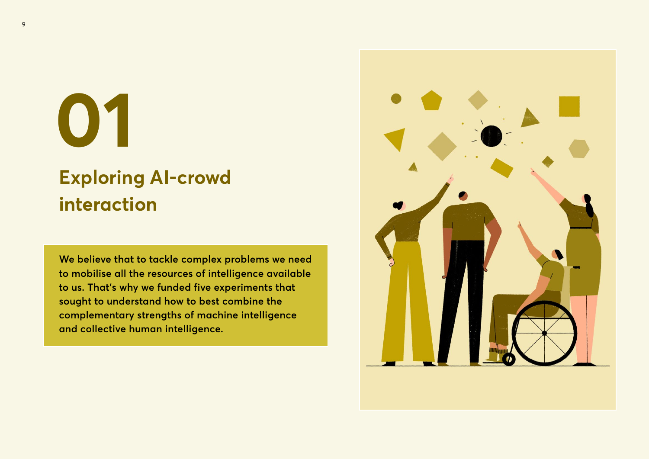# **01**

## **Exploring AI-crowd interaction**

**We believe that to tackle complex problems we need to mobilise all the resources of intelligence available to us. That's why we funded five experiments that sought to understand how to best combine the complementary strengths of machine intelligence and collective human intelligence.** 

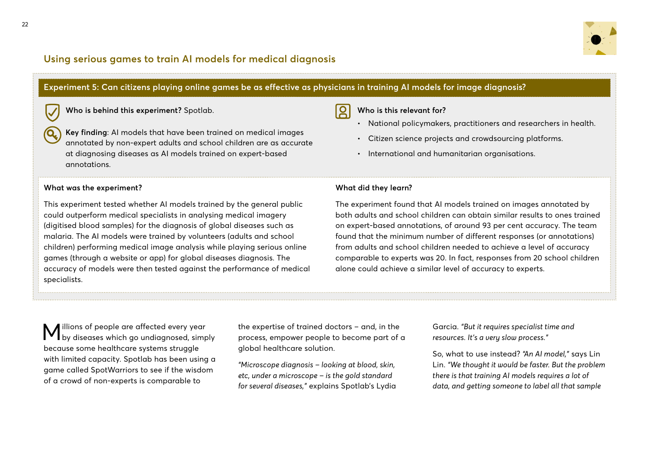

## **Using serious games to train AI models for medical diagnosis**

#### **Experiment 5: Can citizens playing online games be as effective as physicians in training AI models for image diagnosis?** <u> R</u> **Who is behind this experiment?** Spotlab. **Who is this relevant for?** • National policymakers, practitioners and researchers in health. **Key finding**: AI models that have been trained on medical images • Citizen science projects and crowdsourcing platforms. annotated by non-expert adults and school children are as accurate at diagnosing diseases as AI models trained on expert-based • International and humanitarian organisations. annotations. **What was the experiment? What did they learn?** This experiment tested whether AI models trained by the general public The experiment found that AI models trained on images annotated by could outperform medical specialists in analysing medical imagery (digitised blood samples) for the diagnosis of global diseases such as on expert-based annotations, of around 93 per cent accuracy. The team

malaria. The AI models were trained by volunteers (adults and school children) performing medical image analysis while playing serious online games (through a website or app) for global diseases diagnosis. The accuracy of models were then tested against the performance of medical specialists.

both adults and school children can obtain similar results to ones trained found that the minimum number of different responses (or annotations) from adults and school children needed to achieve a level of accuracy comparable to experts was 20. In fact, responses from 20 school children alone could achieve a similar level of accuracy to experts.

Millions of people are affected every year by diseases which go undiagnosed, simply because some healthcare systems struggle with limited capacity. Spotlab has been using a game called SpotWarriors to see if the wisdom of a crowd of non-experts is comparable to

the expertise of trained doctors – and, in the process, empower people to become part of a global healthcare solution.

*"Microscope diagnosis – looking at blood, skin, etc, under a microscope – is the gold standard for several diseases,"* explains Spotlab's Lydia Garcia. *"But it requires specialist time and resources. It's a very slow process."* 

So, what to use instead? *"An AI model,"* says Lin Lin. *"We thought it would be faster. But the problem there is that training AI models requires a lot of data, and getting someone to label all that sample*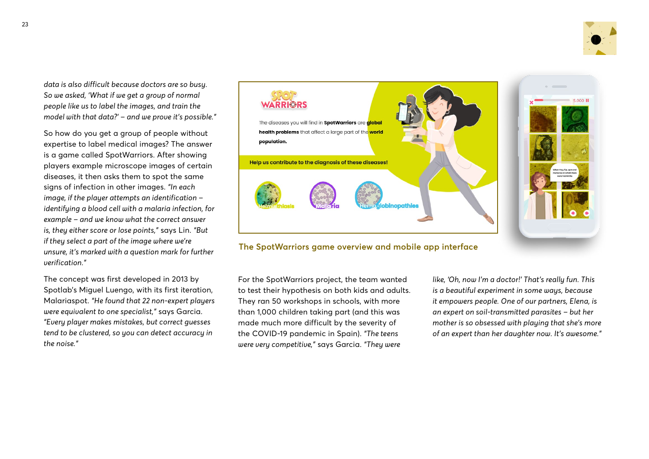

*data is also difficult because doctors are so busy. So we asked, 'What if we get a group of normal people like us to label the images, and train the model with that data?' – and we prove it's possible."*

So how do you get a group of people without expertise to label medical images? The answer is a game called SpotWarriors. After showing players example microscope images of certain diseases, it then asks them to spot the same signs of infection in other images. *"In each image, if the player attempts an identification – identifying a blood cell with a malaria infection, for example – and we know what the correct answer is, they either score or lose points,"* says Lin. *"But if they select a part of the image where we're unsure, it's marked with a question mark for further verification."*

The concept was first developed in 2013 by Spotlab's Miguel Luengo, with its first iteration, Malariaspot. *"He found that 22 non-expert players were equivalent to one specialist,"* says Garcia. *"Every player makes mistakes, but correct guesses tend to be clustered, so you can detect accuracy in the noise."*



**The SpotWarriors game overview and mobile app interface**

For the SpotWarriors project, the team wanted to test their hypothesis on both kids and adults. They ran 50 workshops in schools, with more than 1,000 children taking part (and this was made much more difficult by the severity of the COVID-19 pandemic in Spain). *"The teens were very competitive,"* says Garcia. *"They were* 

*like, 'Oh, now I'm a doctor!' That's really fun. This is a beautiful experiment in some ways, because it empowers people. One of our partners, Elena, is an expert on soil-transmitted parasites – but her mother is so obsessed with playing that she's more of an expert than her daughter now. It's awesome."*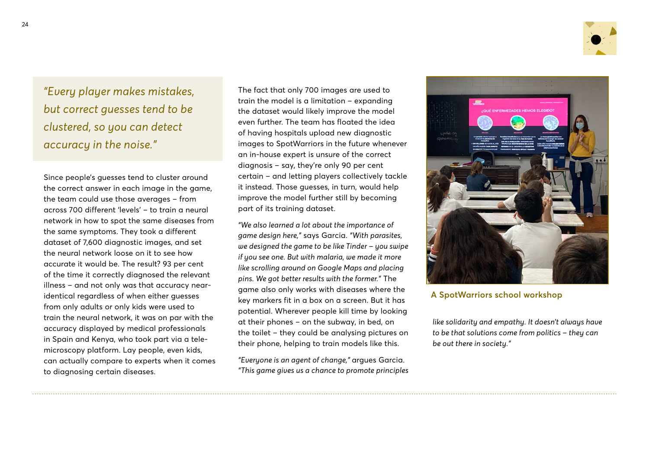

*"Every player makes mistakes, but correct guesses tend to be clustered, so you can detect accuracy in the noise."*

Since people's guesses tend to cluster around the correct answer in each image in the game, the team could use those averages – from across 700 different 'levels' – to train a neural network in how to spot the same diseases from the same symptoms. They took a different dataset of 7,600 diagnostic images, and set the neural network loose on it to see how accurate it would be. The result? 93 per cent of the time it correctly diagnosed the relevant illness – and not only was that accuracy nearidentical regardless of when either guesses from only adults or only kids were used to train the neural network, it was on par with the accuracy displayed by medical professionals in Spain and Kenya, who took part via a telemicroscopy platform. Lay people, even kids, can actually compare to experts when it comes to diagnosing certain diseases.

The fact that only 700 images are used to train the model is a limitation – expanding the dataset would likely improve the model even further. The team has floated the idea of having hospitals upload new diagnostic images to SpotWarriors in the future whenever an in-house expert is unsure of the correct diagnosis – say, they're only 90 per cent certain – and letting players collectively tackle it instead. Those guesses, in turn, would help improve the model further still by becoming part of its training dataset.

*"We also learned a lot about the importance of game design here,"* says Garcia. *"With parasites, we designed the game to be like Tinder – you swipe if you see one. But with malaria, we made it more like scrolling around on Google Maps and placing pins. We got better results with the former."* The game also only works with diseases where the key markers fit in a box on a screen. But it has potential. Wherever people kill time by looking at their phones – on the subway, in bed, on the toilet – they could be analysing pictures on their phone, helping to train models like this.

*"Everyone is an agent of change,"* argues Garcia. *"This game gives us a chance to promote principles* 



### **A SpotWarriors school workshop**

*like solidarity and empathy. It doesn't always have to be that solutions come from politics – they can be out there in society."*